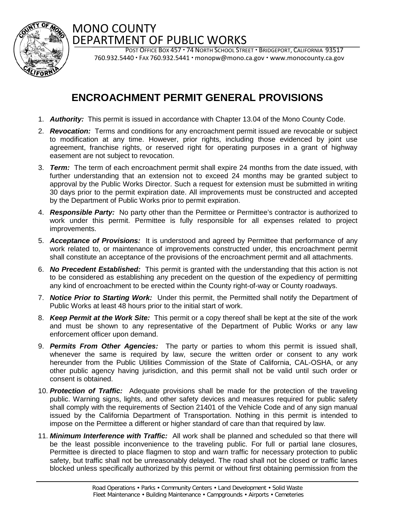

## MONO COUNTY DEPARTMENT OF PUBLIC WORKS

POST OFFICE BOX 457 · 74 NORTH SCHOOL STREET · BRIDGEPORT, CALIFORNIA 93517  $760.932.5440 \cdot F$ AX  $760.932.5441 \cdot \text{monopw@mono.ca.gov} \cdot \text{www.monocounty.ca.gov}$ 

## **ENCROACHMENT PERMIT GENERAL PROVISIONS**

- 1. *Authority:* This permit is issued in accordance with Chapter 13.04 of the Mono County Code.
- 2. *Revocation:* Terms and conditions for any encroachment permit issued are revocable or subject to modification at any time. However, prior rights, including those evidenced by joint use agreement, franchise rights, or reserved right for operating purposes in a grant of highway easement are not subject to revocation.
- 3. *Term:*The term of each encroachment permit shall expire 24 months from the date issued, with further understanding that an extension not to exceed 24 months may be granted subject to approval by the Public Works Director. Such a request for extension must be submitted in writing 30 days prior to the permit expiration date. All improvements must be constructed and accepted by the Department of Public Works prior to permit expiration.
- 4. *Responsible Party:* No party other than the Permittee or Permittee's contractor is authorized to work under this permit. Permittee is fully responsible for all expenses related to project improvements.
- 5. *Acceptance of Provisions:* It is understood and agreed by Permittee that performance of any work related to, or maintenance of improvements constructed under, this encroachment permit shall constitute an acceptance of the provisions of the encroachment permit and all attachments.
- 6. *No Precedent Established:* This permit is granted with the understanding that this action is not to be considered as establishing any precedent on the question of the expediency of permitting any kind of encroachment to be erected within the County right-of-way or County roadways.
- 7. *Notice Prior to Starting Work:* Under this permit, the Permitted shall notify the Department of Public Works at least 48 hours prior to the initial start of work.
- 8. *Keep Permit at the Work Site:* This permit or a copy thereof shall be kept at the site of the work and must be shown to any representative of the Department of Public Works or any law enforcement officer upon demand.
- 9. *Permits From Other Agencies:* The party or parties to whom this permit is issued shall, whenever the same is required by law, secure the written order or consent to any work hereunder from the Public Utilities Commission of the State of California, CAL-OSHA, or any other public agency having jurisdiction, and this permit shall not be valid until such order or consent is obtained.
- 10. *Protection of Traffic:* Adequate provisions shall be made for the protection of the traveling public. Warning signs, lights, and other safety devices and measures required for public safety shall comply with the requirements of Section 21401 of the Vehicle Code and of any sign manual issued by the California Department of Transportation. Nothing in this permit is intended to impose on the Permittee a different or higher standard of care than that required by law.
- 11. *Minimum Interference with Traffic:* All work shall be planned and scheduled so that there will be the least possible inconvenience to the traveling public. For full or partial lane closures, Permittee is directed to place flagmen to stop and warn traffic for necessary protection to public safety, but traffic shall not be unreasonably delayed. The road shall not be closed or traffic lanes blocked unless specifically authorized by this permit or without first obtaining permission from the